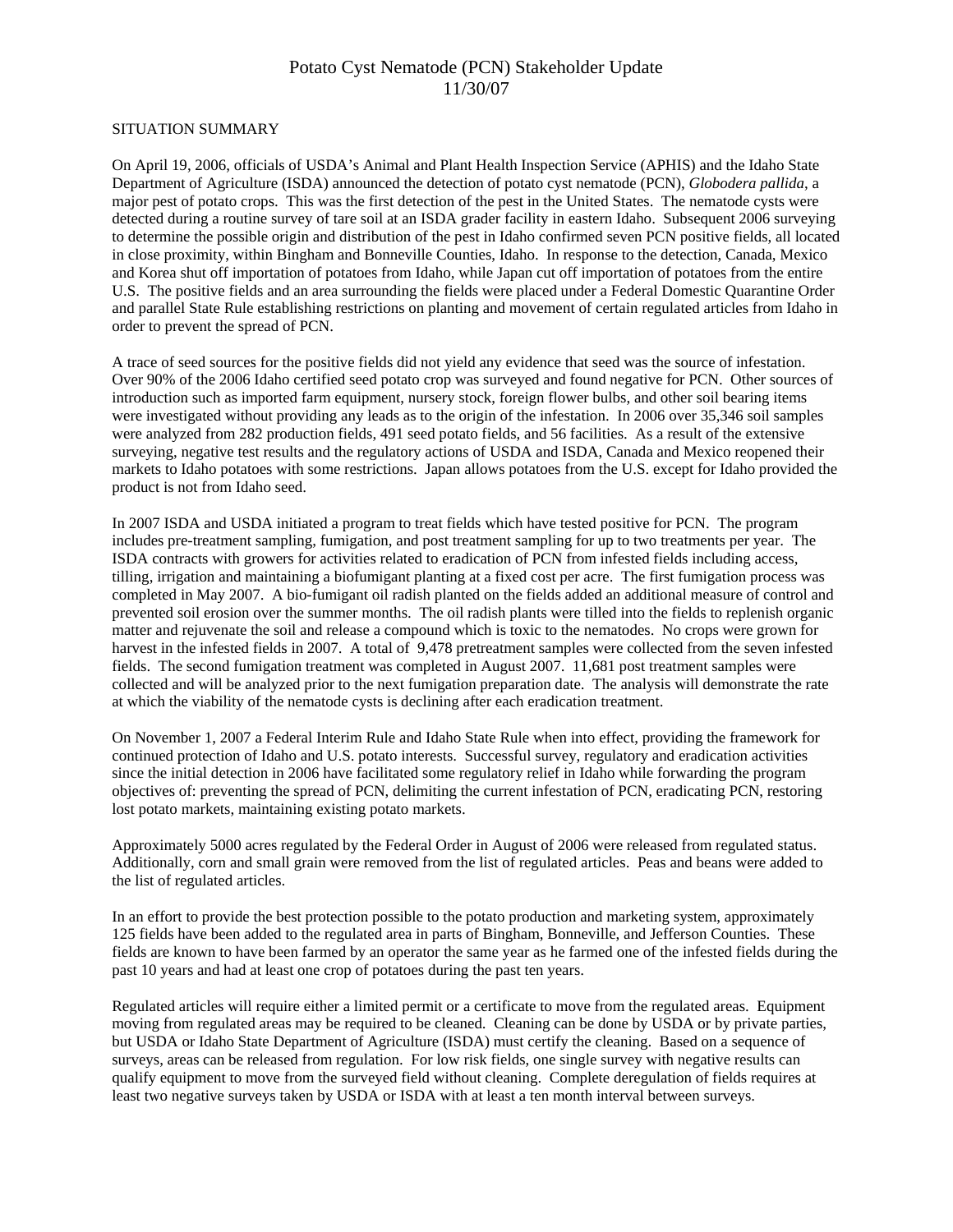## Potato Cyst Nematode (PCN) Stakeholder Update 11/30/07

## SITUATION SUMMARY

On April 19, 2006, officials of USDA's Animal and Plant Health Inspection Service (APHIS) and the Idaho State Department of Agriculture (ISDA) announced the detection of potato cyst nematode (PCN), *Globodera pallida*, a major pest of potato crops. This was the first detection of the pest in the United States. The nematode cysts were detected during a routine survey of tare soil at an ISDA grader facility in eastern Idaho. Subsequent 2006 surveying to determine the possible origin and distribution of the pest in Idaho confirmed seven PCN positive fields, all located in close proximity, within Bingham and Bonneville Counties, Idaho. In response to the detection, Canada, Mexico and Korea shut off importation of potatoes from Idaho, while Japan cut off importation of potatoes from the entire U.S. The positive fields and an area surrounding the fields were placed under a Federal Domestic Quarantine Order and parallel State Rule establishing restrictions on planting and movement of certain regulated articles from Idaho in order to prevent the spread of PCN.

A trace of seed sources for the positive fields did not yield any evidence that seed was the source of infestation. Over 90% of the 2006 Idaho certified seed potato crop was surveyed and found negative for PCN. Other sources of introduction such as imported farm equipment, nursery stock, foreign flower bulbs, and other soil bearing items were investigated without providing any leads as to the origin of the infestation. In 2006 over 35,346 soil samples were analyzed from 282 production fields, 491 seed potato fields, and 56 facilities. As a result of the extensive surveying, negative test results and the regulatory actions of USDA and ISDA, Canada and Mexico reopened their markets to Idaho potatoes with some restrictions. Japan allows potatoes from the U.S. except for Idaho provided the product is not from Idaho seed.

In 2007 ISDA and USDA initiated a program to treat fields which have tested positive for PCN. The program includes pre-treatment sampling, fumigation, and post treatment sampling for up to two treatments per year. The ISDA contracts with growers for activities related to eradication of PCN from infested fields including access, tilling, irrigation and maintaining a biofumigant planting at a fixed cost per acre. The first fumigation process was completed in May 2007. A bio-fumigant oil radish planted on the fields added an additional measure of control and prevented soil erosion over the summer months. The oil radish plants were tilled into the fields to replenish organic matter and rejuvenate the soil and release a compound which is toxic to the nematodes. No crops were grown for harvest in the infested fields in 2007. A total of 9,478 pretreatment samples were collected from the seven infested fields. The second fumigation treatment was completed in August 2007. 11,681 post treatment samples were collected and will be analyzed prior to the next fumigation preparation date. The analysis will demonstrate the rate at which the viability of the nematode cysts is declining after each eradication treatment.

On November 1, 2007 a Federal Interim Rule and Idaho State Rule when into effect, providing the framework for continued protection of Idaho and U.S. potato interests. Successful survey, regulatory and eradication activities since the initial detection in 2006 have facilitated some regulatory relief in Idaho while forwarding the program objectives of: preventing the spread of PCN, delimiting the current infestation of PCN, eradicating PCN, restoring lost potato markets, maintaining existing potato markets.

Approximately 5000 acres regulated by the Federal Order in August of 2006 were released from regulated status. Additionally, corn and small grain were removed from the list of regulated articles. Peas and beans were added to the list of regulated articles.

In an effort to provide the best protection possible to the potato production and marketing system, approximately 125 fields have been added to the regulated area in parts of Bingham, Bonneville, and Jefferson Counties. These fields are known to have been farmed by an operator the same year as he farmed one of the infested fields during the past 10 years and had at least one crop of potatoes during the past ten years.

Regulated articles will require either a limited permit or a certificate to move from the regulated areas. Equipment moving from regulated areas may be required to be cleaned. Cleaning can be done by USDA or by private parties, but USDA or Idaho State Department of Agriculture (ISDA) must certify the cleaning. Based on a sequence of surveys, areas can be released from regulation. For low risk fields, one single survey with negative results can qualify equipment to move from the surveyed field without cleaning. Complete deregulation of fields requires at least two negative surveys taken by USDA or ISDA with at least a ten month interval between surveys.